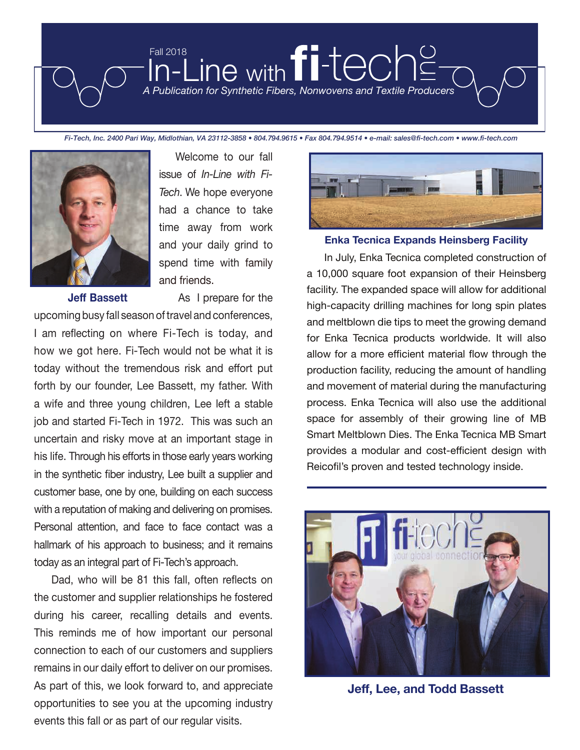



issue of *In-Line with Fi-Tech*. We hope everyone had a chance to take time away from work and your daily grind to spend time with family and friends.

Welcome to our fall

**Jeff Bassett** As I prepare for the

upcoming busy fall season of travel and conferences, I am reflecting on where Fi-Tech is today, and how we got here. Fi-Tech would not be what it is today without the tremendous risk and effort put forth by our founder, Lee Bassett, my father. With a wife and three young children, Lee left a stable job and started Fi-Tech in 1972. This was such an uncertain and risky move at an important stage in his life. Through his efforts in those early years working in the synthetic fiber industry, Lee built a supplier and customer base, one by one, building on each success with a reputation of making and delivering on promises. Personal attention, and face to face contact was a hallmark of his approach to business; and it remains today as an integral part of Fi-Tech's approach.

 Dad, who will be 81 this fall, often reflects on the customer and supplier relationships he fostered during his career, recalling details and events. This reminds me of how important our personal connection to each of our customers and suppliers remains in our daily effort to deliver on our promises. As part of this, we look forward to, and appreciate opportunities to see you at the upcoming industry events this fall or as part of our regular visits.



### **Enka Tecnica Expands Heinsberg Facility**

 In July, Enka Tecnica completed construction of a 10,000 square foot expansion of their Heinsberg facility. The expanded space will allow for additional high-capacity drilling machines for long spin plates and meltblown die tips to meet the growing demand for Enka Tecnica products worldwide. It will also allow for a more efficient material flow through the production facility, reducing the amount of handling and movement of material during the manufacturing process. Enka Tecnica will also use the additional space for assembly of their growing line of MB Smart Meltblown Dies. The Enka Tecnica MB Smart provides a modular and cost-efficient design with Reicofil's proven and tested technology inside.



**Jeff, Lee, and Todd Bassett**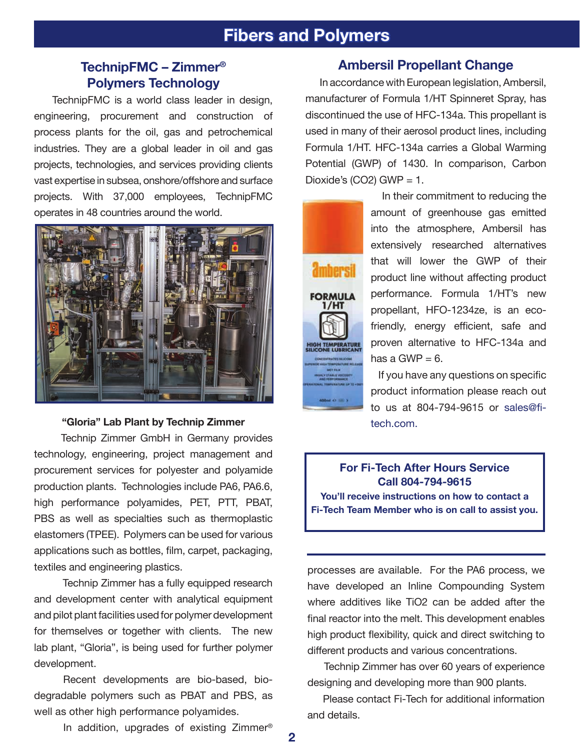# **Fibers and Polymers**

# **TechnipFMC – Zimmer® Polymers Technology**

 TechnipFMC is a world class leader in design, engineering, procurement and construction of process plants for the oil, gas and petrochemical industries. They are a global leader in oil and gas projects, technologies, and services providing clients vast expertise in subsea, onshore/offshore and surface projects. With 37,000 employees, TechnipFMC operates in 48 countries around the world.



## **"Gloria" Lab Plant by Technip Zimmer**

 Technip Zimmer GmbH in Germany provides technology, engineering, project management and procurement services for polyester and polyamide production plants. Technologies include PA6, PA6.6, high performance polyamides, PET, PTT, PBAT, PBS as well as specialties such as thermoplastic elastomers (TPEE). Polymers can be used for various applications such as bottles, film, carpet, packaging, textiles and engineering plastics.

 Technip Zimmer has a fully equipped research and development center with analytical equipment and pilot plant facilities used for polymer development for themselves or together with clients. The new lab plant, "Gloria", is being used for further polymer development.

 Recent developments are bio-based, biodegradable polymers such as PBAT and PBS, as well as other high performance polyamides.

In addition, upgrades of existing Zimmer®

## **Ambersil Propellant Change**

 In accordance with European legislation, Ambersil, manufacturer of Formula 1/HT Spinneret Spray, has discontinued the use of HFC-134a. This propellant is used in many of their aerosol product lines, including Formula 1/HT. HFC-134a carries a Global Warming Potential (GWP) of 1430. In comparison, Carbon Dioxide's (CO2) GWP =  $1$ .



 In their commitment to reducing the amount of greenhouse gas emitted into the atmosphere, Ambersil has extensively researched alternatives that will lower the GWP of their product line without affecting product performance. Formula 1/HT's new propellant, HFO-1234ze, is an ecofriendly, energy efficient, safe and proven alternative to HFC-134a and has a GWP  $= 6$ .

 If you have any questions on specific product information please reach out to us at 804-794-9615 or sales@fitech.com.

**For Fi-Tech After Hours Service Call 804-794-9615 You'll receive instructions on how to contact a Fi-Tech Team Member who is on call to assist you.**

processes are available. For the PA6 process, we have developed an Inline Compounding System where additives like TiO2 can be added after the final reactor into the melt. This development enables high product flexibility, quick and direct switching to different products and various concentrations.

 Technip Zimmer has over 60 years of experience designing and developing more than 900 plants.

 Please contact Fi-Tech for additional information and details.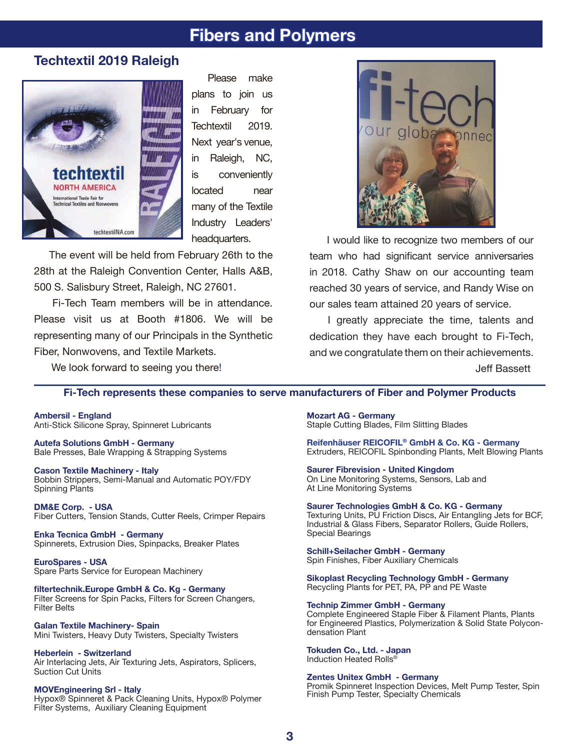# **Fibers and Polymers**

# **Techtextil 2019 Raleigh**



Please make plans to join us in February for Techtextil 2019. Next year's venue, in Raleigh, NC, is conveniently located near many of the Textile Industry Leaders' headquarters.

 The event will be held from February 26th to the 28th at the Raleigh Convention Center, Halls A&B, 500 S. Salisbury Street, Raleigh, NC 27601.

 Fi-Tech Team members will be in attendance. Please visit us at Booth #1806. We will be representing many of our Principals in the Synthetic Fiber, Nonwovens, and Textile Markets.



 I would like to recognize two members of our team who had significant service anniversaries in 2018. Cathy Shaw on our accounting team reached 30 years of service, and Randy Wise on our sales team attained 20 years of service.

 I greatly appreciate the time, talents and dedication they have each brought to Fi-Tech, and we congratulate them on their achievements. Jeff Bassett

We look forward to seeing you there!

### **Fi-Tech represents these companies to serve manufacturers of Fiber and Polymer Products**

**Ambersil - England**  Anti-Stick Silicone Spray, Spinneret Lubricants

**Autefa Solutions GmbH - Germany** Bale Presses, Bale Wrapping & Strapping Systems

**Cason Textile Machinery - Italy** Bobbin Strippers, Semi-Manual and Automatic POY/FDY Spinning Plants

**DM&E Corp. - USA** Fiber Cutters, Tension Stands, Cutter Reels, Crimper Repairs

**Enka Tecnica GmbH - Germany**  Spinnerets, Extrusion Dies, Spinpacks, Breaker Plates

**EuroSpares - USA**  Spare Parts Service for European Machinery

**filtertechnik.Europe GmbH & Co. Kg - Germany** Filter Screens for Spin Packs, Filters for Screen Changers, Filter Belts

**Galan Textile Machinery- Spain**  Mini Twisters, Heavy Duty Twisters, Specialty Twisters

**Heberlein - Switzerland**  Air Interlacing Jets, Air Texturing Jets, Aspirators, Splicers, Suction Cut Units

**MOVEngineering Srl - Italy** Hypox® Spinneret & Pack Cleaning Units, Hypox® Polymer Filter Systems, Auxiliary Cleaning Equipment

**Mozart AG - Germany**  Staple Cutting Blades, Film Slitting Blades

**Reifenhäuser REICOFIL® GmbH & Co. KG - Germany** Extruders, REICOFIL Spinbonding Plants, Melt Blowing Plants

**Saurer Fibrevision - United Kingdom**  On Line Monitoring Systems, Sensors, Lab and At Line Monitoring Systems

**Saurer Technologies GmbH & Co. KG - Germany** Texturing Units, PU Friction Discs, Air Entangling Jets for BCF,

Industrial & Glass Fibers, Separator Rollers, Guide Rollers, Special Bearings

**Schill+Seilacher GmbH - Germany** Spin Finishes, Fiber Auxiliary Chemicals

**Sikoplast Recycling Technology GmbH - Germany** Recycling Plants for PET, PA, PP and PE Waste

### **Technip Zimmer GmbH - Germany**

Complete Engineered Staple Fiber & Filament Plants, Plants for Engineered Plastics, Polymerization & Solid State Polycondensation Plant

**Tokuden Co., Ltd. - Japan** Induction Heated Rolls<sup>®</sup>

#### **Zentes Unitex GmbH - Germany**

Promik Spinneret Inspection Devices, Melt Pump Tester, Spin Finish Pump Tester, Specialty Chemicals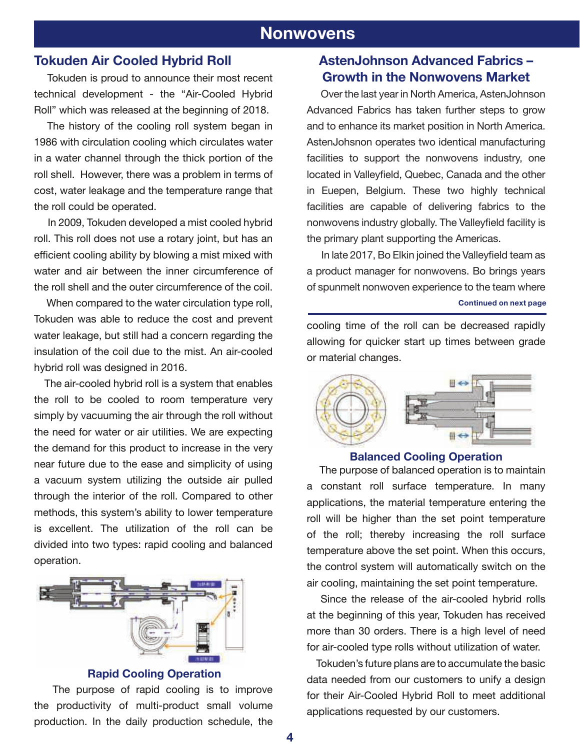# **Nonwovens**

# **Tokuden Air Cooled Hybrid Roll**

 Tokuden is proud to announce their most recent technical development - the "Air-Cooled Hybrid Roll" which was released at the beginning of 2018.

 The history of the cooling roll system began in 1986 with circulation cooling which circulates water in a water channel through the thick portion of the roll shell. However, there was a problem in terms of cost, water leakage and the temperature range that the roll could be operated.

 In 2009, Tokuden developed a mist cooled hybrid roll. This roll does not use a rotary joint, but has an efficient cooling ability by blowing a mist mixed with water and air between the inner circumference of the roll shell and the outer circumference of the coil.

 When compared to the water circulation type roll, Tokuden was able to reduce the cost and prevent water leakage, but still had a concern regarding the insulation of the coil due to the mist. An air-cooled hybrid roll was designed in 2016.

 The air-cooled hybrid roll is a system that enables the roll to be cooled to room temperature very simply by vacuuming the air through the roll without the need for water or air utilities. We are expecting the demand for this product to increase in the very near future due to the ease and simplicity of using a vacuum system utilizing the outside air pulled through the interior of the roll. Compared to other methods, this system's ability to lower temperature is excellent. The utilization of the roll can be divided into two types: rapid cooling and balanced operation.



### **Rapid Cooling Operation**

 The purpose of rapid cooling is to improve the productivity of multi-product small volume production. In the daily production schedule, the

# **AstenJohnson Advanced Fabrics – Growth in the Nonwovens Market**

 Over the last year in North America, AstenJohnson Advanced Fabrics has taken further steps to grow and to enhance its market position in North America. AstenJohsnon operates two identical manufacturing facilities to support the nonwovens industry, one located in Valleyfield, Quebec, Canada and the other in Euepen, Belgium. These two highly technical facilities are capable of delivering fabrics to the nonwovens industry globally. The Valleyfield facility is the primary plant supporting the Americas.

 In late 2017, Bo Elkin joined the Valleyfield team as a product manager for nonwovens. Bo brings years of spunmelt nonwoven experience to the team where **Continued on next page**

cooling time of the roll can be decreased rapidly allowing for quicker start up times between grade or material changes.



### **Balanced Cooling Operation**

 The purpose of balanced operation is to maintain a constant roll surface temperature. In many applications, the material temperature entering the roll will be higher than the set point temperature of the roll; thereby increasing the roll surface temperature above the set point. When this occurs, the control system will automatically switch on the air cooling, maintaining the set point temperature.

 Since the release of the air-cooled hybrid rolls at the beginning of this year, Tokuden has received more than 30 orders. There is a high level of need for air-cooled type rolls without utilization of water.

 Tokuden's future plans are to accumulate the basic data needed from our customers to unify a design for their Air-Cooled Hybrid Roll to meet additional applications requested by our customers.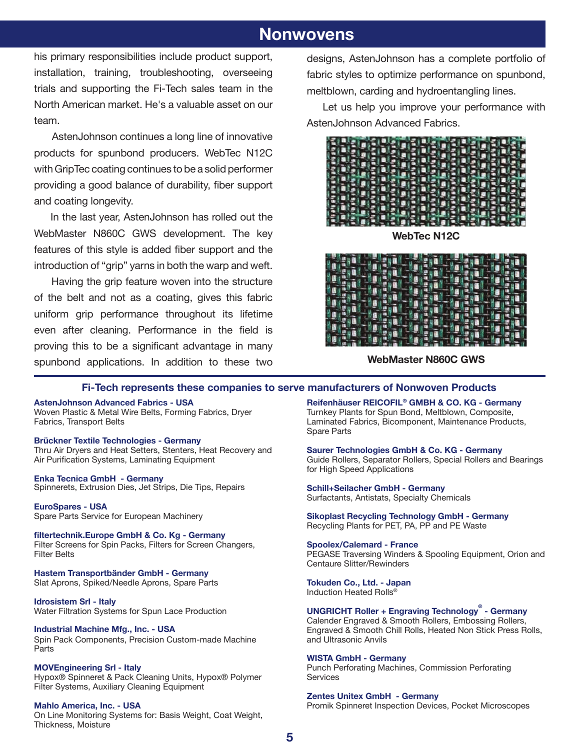# **Nonwovens Nonwovens**

his primary responsibilities include product support, installation, training, troubleshooting, overseeing trials and supporting the Fi-Tech sales team in the North American market. He's a valuable asset on our team.

 AstenJohnson continues a long line of innovative products for spunbond producers. WebTec N12C with GripTec coating continues to be a solid performer providing a good balance of durability, fiber support and coating longevity.

 In the last year, AstenJohnson has rolled out the WebMaster N860C GWS development. The key features of this style is added fiber support and the introduction of "grip" yarns in both the warp and weft.

 Having the grip feature woven into the structure of the belt and not as a coating, gives this fabric uniform grip performance throughout its lifetime even after cleaning. Performance in the field is proving this to be a significant advantage in many spunbond applications. In addition to these two

designs, AstenJohnson has a complete portfolio of fabric styles to optimize performance on spunbond, meltblown, carding and hydroentangling lines.

 Let us help you improve your performance with AstenJohnson Advanced Fabrics.



**WebTec N12C**



**WebMaster N860C GWS**

### **Fi-Tech represents these companies to serve manufacturers of Nonwoven Products**

### **AstenJohnson Advanced Fabrics - USA**

Woven Plastic & Metal Wire Belts, Forming Fabrics, Dryer Fabrics, Transport Belts

#### **Brückner Textile Technologies - Germany**

Thru Air Dryers and Heat Setters, Stenters, Heat Recovery and Air Purification Systems, Laminating Equipment

**Enka Tecnica GmbH - Germany** Spinnerets, Extrusion Dies, Jet Strips, Die Tips, Repairs

**EuroSpares - USA** Spare Parts Service for European Machinery

**filtertechnik.Europe GmbH & Co. Kg - Germany** Filter Screens for Spin Packs, Filters for Screen Changers, Filter Belts

**Hastem Transportbänder GmbH - Germany** Slat Aprons, Spiked/Needle Aprons, Spare Parts

**Idrosistem Srl - Italy**  Water Filtration Systems for Spun Lace Production

**Industrial Machine Mfg., Inc. - USA** Spin Pack Components, Precision Custom-made Machine Parts

**MOVEngineering Srl - Italy** Hypox® Spinneret & Pack Cleaning Units, Hypox® Polymer Filter Systems, Auxiliary Cleaning Equipment

**Mahlo America, Inc. - USA** On Line Monitoring Systems for: Basis Weight, Coat Weight, Thickness, Moisture

**Reifenhäuser REICOFIL® GMBH & CO. KG - Germany** Turnkey Plants for Spun Bond, Meltblown, Composite, Laminated Fabrics, Bicomponent, Maintenance Products, Spare Parts

**Saurer Technologies GmbH & Co. KG - Germany** Guide Rollers, Separator Rollers, Special Rollers and Bearings for High Speed Applications

**Schill+Seilacher GmbH - Germany** Surfactants, Antistats, Specialty Chemicals

**Sikoplast Recycling Technology GmbH - Germany** Recycling Plants for PET, PA, PP and PE Waste

**Spoolex/Calemard - France** PEGASE Traversing Winders & Spooling Equipment, Orion and Centaure Slitter/Rewinders

**Tokuden Co., Ltd. - Japan** Induction Heated Rolls®

**UNGRICHT Roller + Engraving Technology® - Germany** Calender Engraved & Smooth Rollers, Embossing Rollers, Engraved & Smooth Chill Rolls, Heated Non Stick Press Rolls, and Ultrasonic Anvils

#### **WISTA GmbH - Germany**

Punch Perforating Machines, Commission Perforating **Services** 

**Zentes Unitex GmbH - Germany** Promik Spinneret Inspection Devices, Pocket Microscopes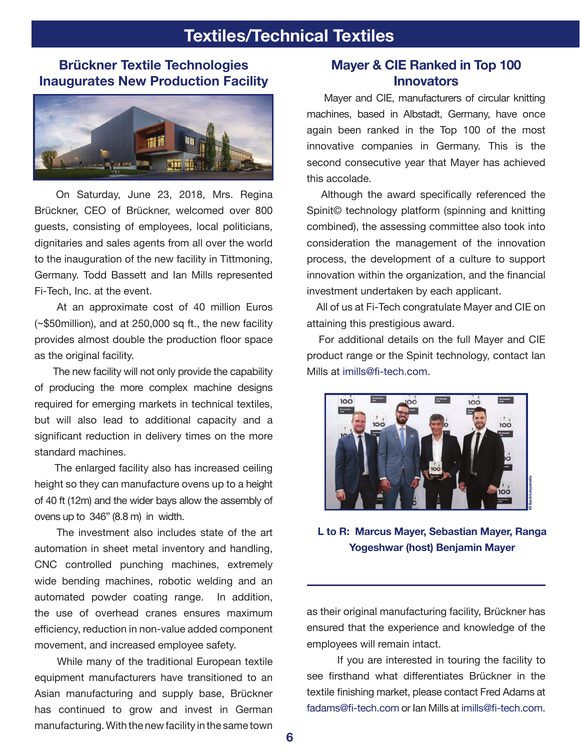# **Textiles/Technical Textiles**

# **Brückner Textile Technologies Inaugurates New Production Facility**



 On Saturday, June 23, 2018, Mrs. Regina Brückner, CEO of Brückner, welcomed over 800 guests, consisting of employees, local politicians, dignitaries and sales agents from all over the world to the inauguration of the new facility in Tittmoning, Germany. Todd Bassett and Ian Mills represented Fi-Tech, Inc. at the event.

 At an approximate cost of 40 million Euros (~\$50million), and at 250,000 sq ft., the new facility provides almost double the production floor space as the original facility.

 The new facility will not only provide the capability of producing the more complex machine designs required for emerging markets in technical textiles, but will also lead to additional capacity and a significant reduction in delivery times on the more standard machines.

 The enlarged facility also has increased ceiling height so they can manufacture ovens up to a height of 40 ft (12m) and the wider bays allow the assembly of ovens up to 346" (8.8 m) in width.

 The investment also includes state of the art automation in sheet metal inventory and handling, CNC controlled punching machines, extremely wide bending machines, robotic welding and an automated powder coating range. In addition, the use of overhead cranes ensures maximum efficiency, reduction in non-value added component movement, and increased employee safety.

 While many of the traditional European textile equipment manufacturers have transitioned to an Asian manufacturing and supply base, Brückner has continued to grow and invest in German manufacturing. With the new facility in the same town

# **Mayer & CIE Ranked in Top 100 Innovators**

 Mayer and CIE, manufacturers of circular knitting machines, based in Albstadt, Germany, have once again been ranked in the Top 100 of the most innovative companies in Germany. This is the second consecutive year that Mayer has achieved this accolade.

 Although the award specifically referenced the Spinit© technology platform (spinning and knitting combined), the assessing committee also took into consideration the management of the innovation process, the development of a culture to support innovation within the organization, and the financial investment undertaken by each applicant.

 All of us at Fi-Tech congratulate Mayer and CIE on attaining this prestigious award.

 For additional details on the full Mayer and CIE product range or the Spinit technology, contact Ian Mills at imills@fi-tech.com.



**L to R: Marcus Mayer, Sebastian Mayer, Ranga Yogeshwar (host) Benjamin Mayer**

as their original manufacturing facility, Brückner has ensured that the experience and knowledge of the employees will remain intact.

 If you are interested in touring the facility to see firsthand what differentiates Brückner in the textile finishing market, please contact Fred Adams at fadams@fi-tech.com or Ian Mills at imills@fi-tech.com.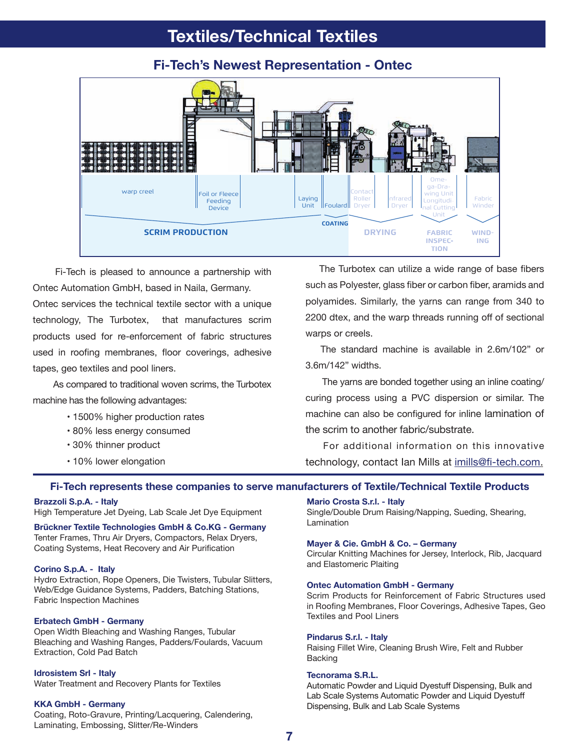# **Textiles/Technical Textiles**

#### Contact Roller Dryer Ifrare Dryer Fabric Winder **COATING** Foil or Fleece Feeding Device Laying **Foulard** warp creel **SCRIM PRODUCTION** Omega-Dra $winq$  Unit Longitudinal Cutting<sup>l</sup> Unit **DRYING FABRIC WIND-ING FABRIC INSPEC TION**

**Fi-Tech's Newest Representation - Ontec**

 Fi-Tech is pleased to announce a partnership with Ontec Automation GmbH, based in Naila, Germany. Ontec services the technical textile sector with a unique technology, The Turbotex, that manufactures scrim products used for re-enforcement of fabric structures used in roofing membranes, floor coverings, adhesive tapes, geo textiles and pool liners.

 As compared to traditional woven scrims, the Turbotex machine has the following advantages:

- 1500% higher production rates
- 80% less energy consumed
- 30% thinner product
- 10% lower elongation

 The Turbotex can utilize a wide range of base fibers such as Polyester, glass fiber or carbon fiber, aramids and polyamides. Similarly, the yarns can range from 340 to 2200 dtex, and the warp threads running off of sectional warps or creels.

 The standard machine is available in 2.6m/102" or 3.6m/142" widths.

 The yarns are bonded together using an inline coating/ curing process using a PVC dispersion or similar. The machine can also be configured for inline lamination of the scrim to another fabric/substrate.

 For additional information on this innovative technology, contact Ian Mills at imills@fi-tech.com.

### **Fi-Tech represents these companies to serve manufacturers of Textile/Technical Textile Products**

### **Brazzoli S.p.A. - Italy**

High Temperature Jet Dyeing, Lab Scale Jet Dye Equipment

**Brückner Textile Technologies GmbH & Co.KG - Germany** Tenter Frames, Thru Air Dryers, Compactors, Relax Dryers, Coating Systems, Heat Recovery and Air Purification

#### **Corino S.p.A. - Italy**

Hydro Extraction, Rope Openers, Die Twisters, Tubular Slitters, Web/Edge Guidance Systems, Padders, Batching Stations, Fabric Inspection Machines

### **Erbatech GmbH - Germany**

Open Width Bleaching and Washing Ranges, Tubular Bleaching and Washing Ranges, Padders/Foulards, Vacuum Extraction, Cold Pad Batch

### **Idrosistem Srl - Italy**

Water Treatment and Recovery Plants for Textiles

### **KKA GmbH - Germany**

Coating, Roto-Gravure, Printing/Lacquering, Calendering, Laminating, Embossing, Slitter/Re-Winders

### **Mario Crosta S.r.l. - Italy**

Single/Double Drum Raising/Napping, Sueding, Shearing, Lamination

#### **Mayer & Cie. GmbH & Co. – Germany**

Circular Knitting Machines for Jersey, Interlock, Rib, Jacquard and Elastomeric Plaiting

### **Ontec Automation GmbH - Germany**

Scrim Products for Reinforcement of Fabric Structures used in Roofing Membranes, Floor Coverings, Adhesive Tapes, Geo Textiles and Pool Liners

#### **Pindarus S.r.l. - Italy**

Raising Fillet Wire, Cleaning Brush Wire, Felt and Rubber Backing

### **Tecnorama S.R.L.**

Automatic Powder and Liquid Dyestuff Dispensing, Bulk and Lab Scale Systems Automatic Powder and Liquid Dyestuff Dispensing, Bulk and Lab Scale Systems